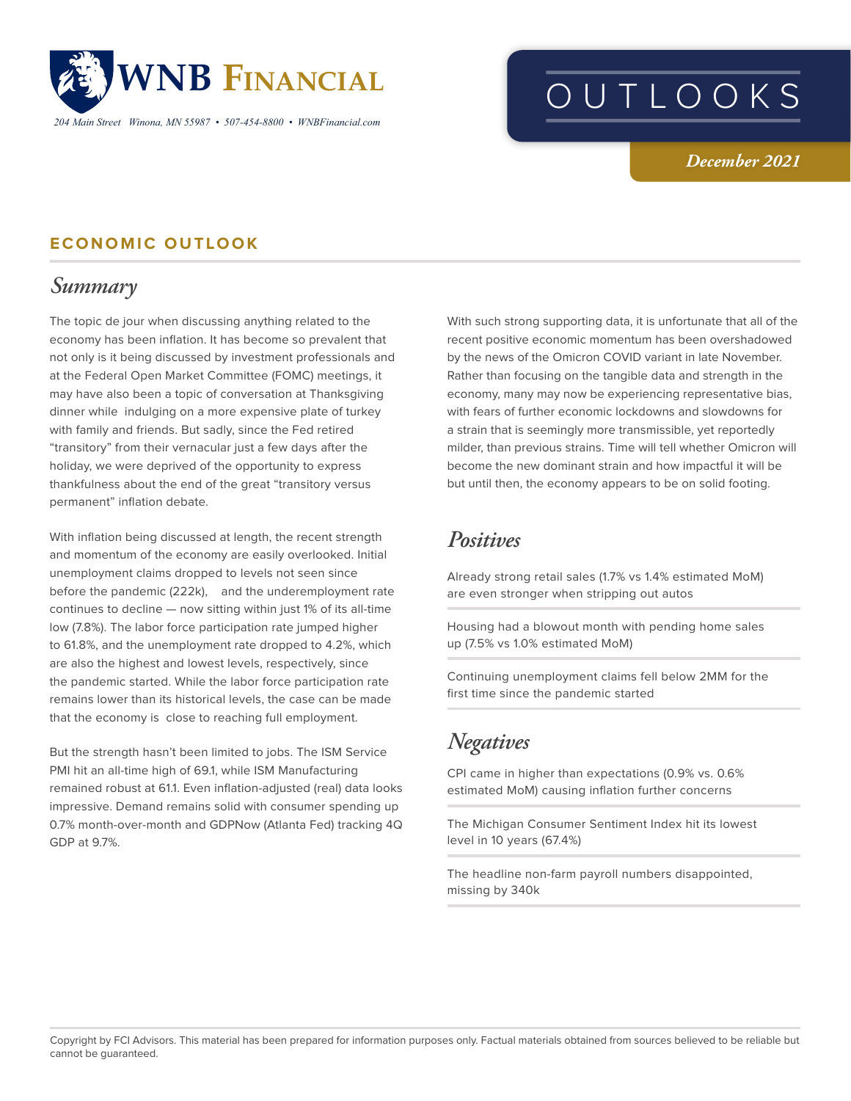

*204 Main Street Winona, MN 55987 • 507-454-8800 • WNBFinancial.com*

# OUTLOOKS

*December 2021*

#### **ECONOMIC OUTLOOK**

## *Summary*

The topic de jour when discussing anything related to the economy has been inflation. It has become so prevalent that not only is it being discussed by investment professionals and at the Federal Open Market Committee (FOMC) meetings, it may have also been a topic of conversation at Thanksgiving dinner while indulging on a more expensive plate of turkey with family and friends. But sadly, since the Fed retired "transitory" from their vernacular just a few days after the holiday, we were deprived of the opportunity to express thankfulness about the end of the great "transitory versus permanent" inflation debate.

With inflation being discussed at length, the recent strength and momentum of the economy are easily overlooked. Initial unemployment claims dropped to levels not seen since before the pandemic (222k), and the underemployment rate continues to decline — now sitting within just 1% of its all-time low (7.8%). The labor force participation rate jumped higher to 61.8%, and the unemployment rate dropped to 4.2%, which are also the highest and lowest levels, respectively, since the pandemic started. While the labor force participation rate remains lower than its historical levels, the case can be made that the economy is close to reaching full employment.

But the strength hasn't been limited to jobs. The ISM Service PMI hit an all-time high of 69.1, while ISM Manufacturing remained robust at 61.1. Even inflation-adjusted (real) data looks impressive. Demand remains solid with consumer spending up 0.7% month-over-month and GDPNow (Atlanta Fed) tracking 4Q GDP at 9.7%.

With such strong supporting data, it is unfortunate that all of the recent positive economic momentum has been overshadowed by the news of the Omicron COVID variant in late November. Rather than focusing on the tangible data and strength in the economy, many may now be experiencing representative bias, with fears of further economic lockdowns and slowdowns for a strain that is seemingly more transmissible, yet reportedly milder, than previous strains. Time will tell whether Omicron will become the new dominant strain and how impactful it will be but until then, the economy appears to be on solid footing.

#### *Positives*

Already strong retail sales (1.7% vs 1.4% estimated MoM) are even stronger when stripping out autos

Housing had a blowout month with pending home sales up (7.5% vs 1.0% estimated MoM)

Continuing unemployment claims fell below 2MM for the first time since the pandemic started

# *Negatives*

CPI came in higher than expectations (0.9% vs. 0.6% estimated MoM) causing inflation further concerns

The Michigan Consumer Sentiment Index hit its lowest level in 10 years (67.4%)

The headline non-farm payroll numbers disappointed, missing by 340k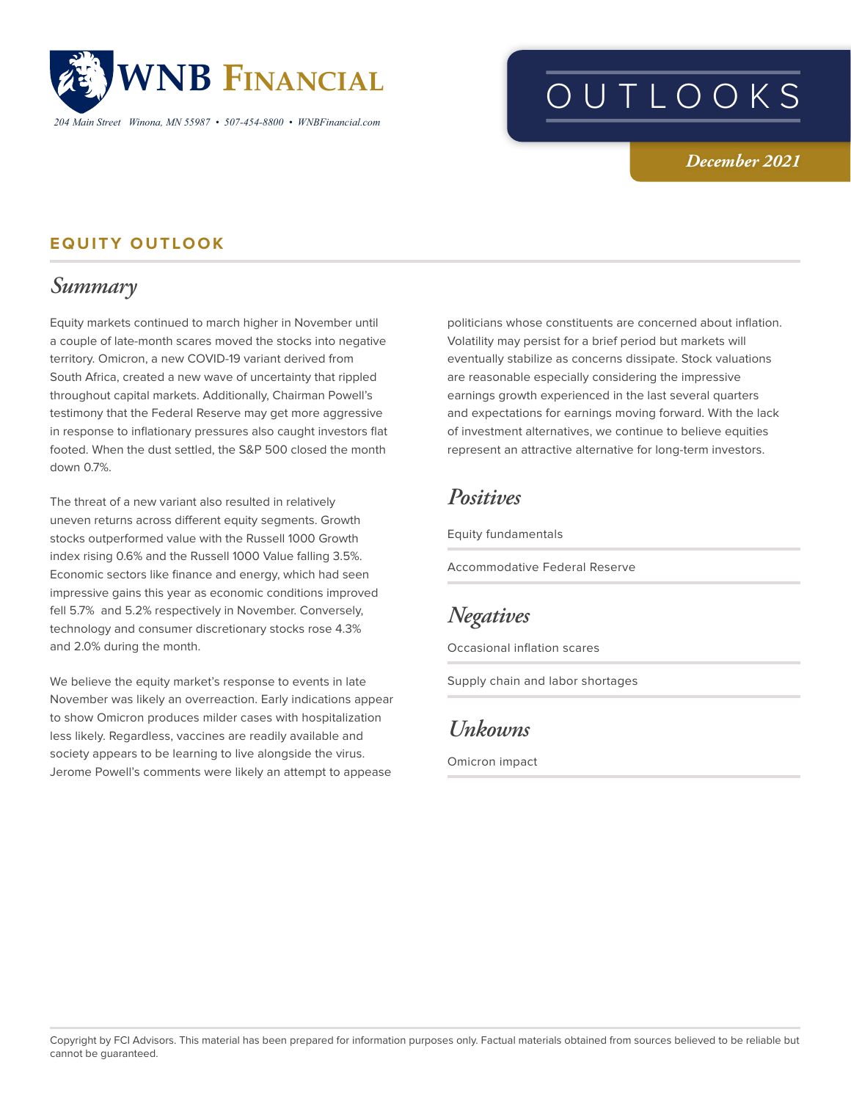

*204 Main Street Winona, MN 55987 • 507-454-8800 • WNBFinancial.com*

# OUTLOOKS

#### *December 2021*

#### **EQUITY OUTLOOK**

## *Summary*

Equity markets continued to march higher in November until a couple of late-month scares moved the stocks into negative territory. Omicron, a new COVID-19 variant derived from South Africa, created a new wave of uncertainty that rippled throughout capital markets. Additionally, Chairman Powell's testimony that the Federal Reserve may get more aggressive in response to inflationary pressures also caught investors flat footed. When the dust settled, the S&P 500 closed the month down 0.7%.

The threat of a new variant also resulted in relatively uneven returns across different equity segments. Growth stocks outperformed value with the Russell 1000 Growth index rising 0.6% and the Russell 1000 Value falling 3.5%. Economic sectors like finance and energy, which had seen impressive gains this year as economic conditions improved fell 5.7% and 5.2% respectively in November. Conversely, technology and consumer discretionary stocks rose 4.3% and 2.0% during the month.

We believe the equity market's response to events in late November was likely an overreaction. Early indications appear to show Omicron produces milder cases with hospitalization less likely. Regardless, vaccines are readily available and society appears to be learning to live alongside the virus. Jerome Powell's comments were likely an attempt to appease

politicians whose constituents are concerned about inflation. Volatility may persist for a brief period but markets will eventually stabilize as concerns dissipate. Stock valuations are reasonable especially considering the impressive earnings growth experienced in the last several quarters and expectations for earnings moving forward. With the lack of investment alternatives, we continue to believe equities represent an attractive alternative for long-term investors.

#### *Positives*

Equity fundamentals

Accommodative Federal Reserve

## *Negatives*

Occasional inflation scares

Supply chain and labor shortages

#### *Unkowns*

Omicron impact